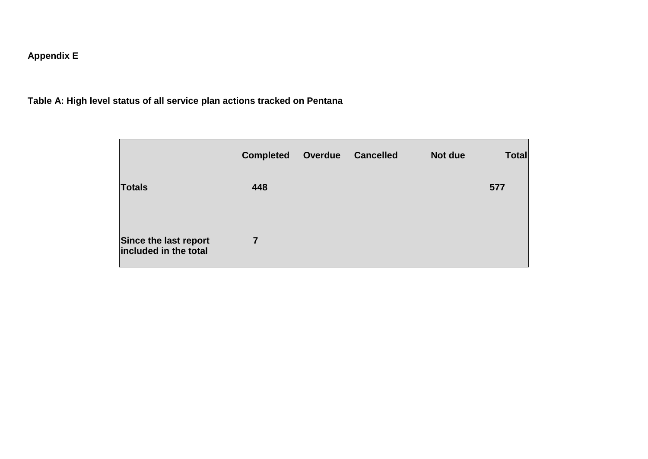# **Appendix E**

**Table A: High level status of all service plan actions tracked on Pentana**

|                                                | <b>Completed</b> | Overdue | <b>Cancelled</b> | Not due | <b>Total</b> |
|------------------------------------------------|------------------|---------|------------------|---------|--------------|
| <b>Totals</b>                                  | 448              |         |                  |         | 577          |
| Since the last report<br>included in the total | 7                |         |                  |         |              |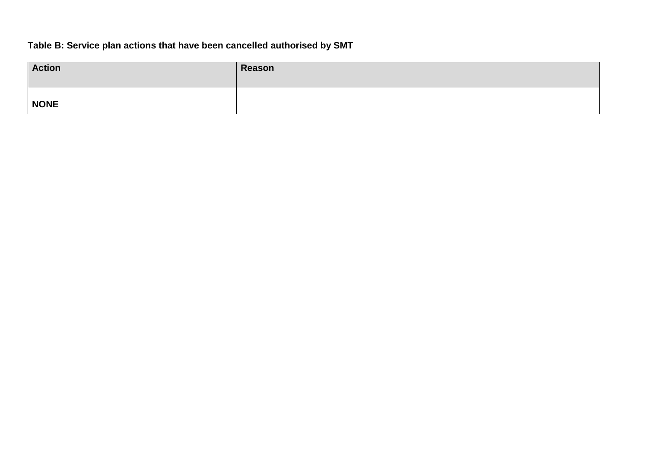# **Table B: Service plan actions that have been cancelled authorised by SMT**

| <b>Action</b> | Reason |
|---------------|--------|
| <b>NONE</b>   |        |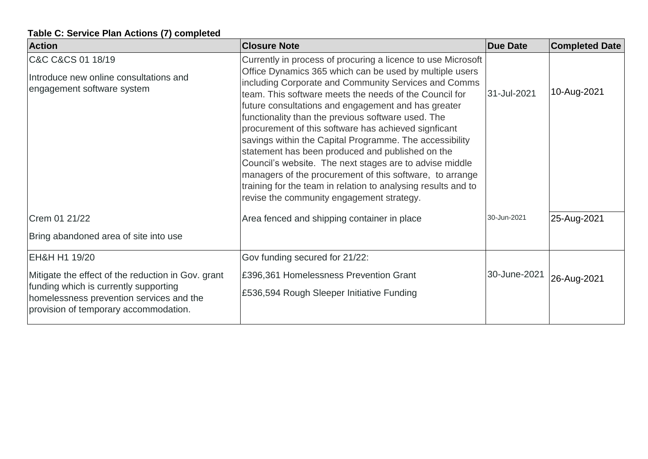### **Table C: Service Plan Actions (7) completed**

| <b>Action</b>                                                                                                                                                                    | <b>Closure Note</b>                                                                                                                                                                                                                                                                                                                                                                                                                                                                                                                                                                                                                                                                                                                                                | <b>Due Date</b> | <b>Completed Date</b> |
|----------------------------------------------------------------------------------------------------------------------------------------------------------------------------------|--------------------------------------------------------------------------------------------------------------------------------------------------------------------------------------------------------------------------------------------------------------------------------------------------------------------------------------------------------------------------------------------------------------------------------------------------------------------------------------------------------------------------------------------------------------------------------------------------------------------------------------------------------------------------------------------------------------------------------------------------------------------|-----------------|-----------------------|
| C&C C&CS 01 18/19<br>Introduce new online consultations and<br>engagement software system                                                                                        | Currently in process of procuring a licence to use Microsoft<br>Office Dynamics 365 which can be used by multiple users<br>including Corporate and Community Services and Comms<br>team. This software meets the needs of the Council for<br>future consultations and engagement and has greater<br>functionality than the previous software used. The<br>procurement of this software has achieved signficant<br>savings within the Capital Programme. The accessibility<br>statement has been produced and published on the<br>Council's website. The next stages are to advise middle<br>managers of the procurement of this software, to arrange<br>training for the team in relation to analysing results and to<br>revise the community engagement strategy. | 31-Jul-2021     | 10-Aug-2021           |
| Crem 01 21/22<br>Bring abandoned area of site into use                                                                                                                           | Area fenced and shipping container in place                                                                                                                                                                                                                                                                                                                                                                                                                                                                                                                                                                                                                                                                                                                        | 30-Jun-2021     | 25-Aug-2021           |
| EH&H H1 19/20                                                                                                                                                                    | Gov funding secured for 21/22:                                                                                                                                                                                                                                                                                                                                                                                                                                                                                                                                                                                                                                                                                                                                     |                 |                       |
| Mitigate the effect of the reduction in Gov. grant<br>funding which is currently supporting<br>homelessness prevention services and the<br>provision of temporary accommodation. | £396,361 Homelessness Prevention Grant<br>£536,594 Rough Sleeper Initiative Funding                                                                                                                                                                                                                                                                                                                                                                                                                                                                                                                                                                                                                                                                                | 30-June-2021    | 26-Aug-2021           |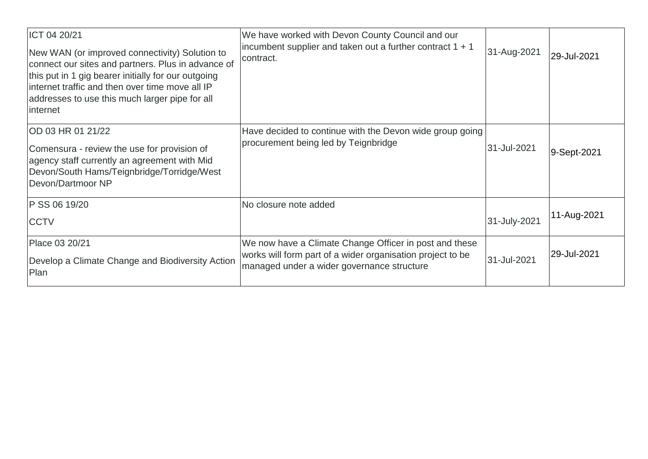| ICT 04 20/21<br>New WAN (or improved connectivity) Solution to<br>connect our sites and partners. Plus in advance of<br>this put in 1 gig bearer initially for our outgoing<br>internet traffic and then over time move all IP<br>addresses to use this much larger pipe for all<br>internet | We have worked with Devon County Council and our<br>incumbent supplier and taken out a further contract $1 + 1$<br>contract.                                       | 31-Aug-2021  | 29-Jul-2021 |
|----------------------------------------------------------------------------------------------------------------------------------------------------------------------------------------------------------------------------------------------------------------------------------------------|--------------------------------------------------------------------------------------------------------------------------------------------------------------------|--------------|-------------|
| OD 03 HR 01 21/22<br>Comensura - review the use for provision of<br>agency staff currently an agreement with Mid<br>Devon/South Hams/Teignbridge/Torridge/West<br>Devon/Dartmoor NP                                                                                                          | Have decided to continue with the Devon wide group going<br>procurement being led by Teignbridge                                                                   | 31-Jul-2021  | 9-Sept-2021 |
| P SS 06 19/20<br><b>CCTV</b>                                                                                                                                                                                                                                                                 | No closure note added                                                                                                                                              | 31-July-2021 | 11-Aug-2021 |
| Place 03 20/21<br>Develop a Climate Change and Biodiversity Action<br>Plan                                                                                                                                                                                                                   | We now have a Climate Change Officer in post and these<br>works will form part of a wider organisation project to be<br>managed under a wider governance structure | 31-Jul-2021  | 29-Jul-2021 |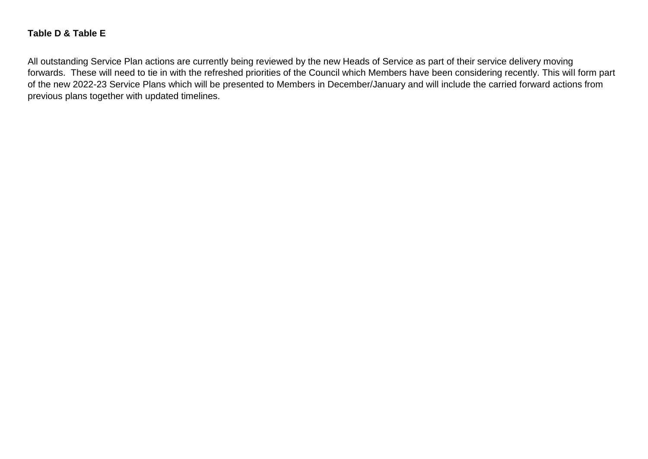#### **Table D & Table E**

All outstanding Service Plan actions are currently being reviewed by the new Heads of Service as part of their service delivery moving forwards. These will need to tie in with the refreshed priorities of the Council which Members have been considering recently. This will form part of the new 2022-23 Service Plans which will be presented to Members in December/January and will include the carried forward actions from previous plans together with updated timelines.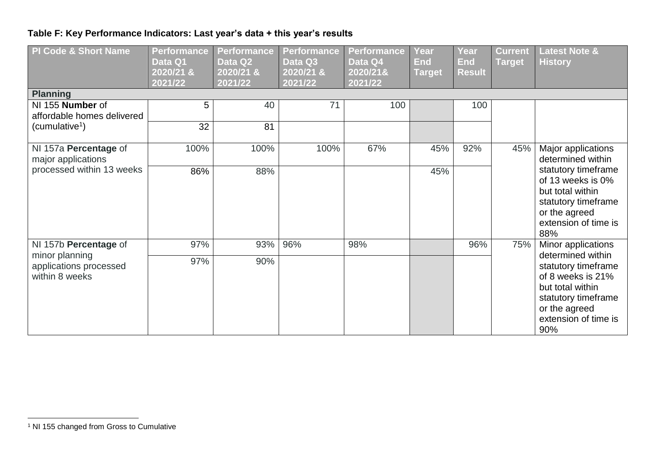# **Table F: Key Performance Indicators: Last year's data + this year's results**

| <b>PI Code &amp; Short Name</b><br><b>Planning</b><br>NI 155 Number of | <b>Performance</b><br>Data Q1<br>2020/21 &<br>2021/22<br>5 | <b>Performance</b><br>Data Q2<br>$\sqrt{2020/21}$ &<br>2021/22<br>40 | <b>Performance</b><br>Data Q3<br>2020/21 &<br>2021/22<br>71 | <b>Performance</b><br>Data Q4<br>2020/21&<br>2021/22<br>100 | Year<br><b>End</b><br>Target | <b>Year</b><br><b>End</b><br><b>Result</b><br>100 | <b>Current</b><br><b>Target</b> | <b>Latest Note &amp;</b><br><b>History</b>                                                                                                                                     |
|------------------------------------------------------------------------|------------------------------------------------------------|----------------------------------------------------------------------|-------------------------------------------------------------|-------------------------------------------------------------|------------------------------|---------------------------------------------------|---------------------------------|--------------------------------------------------------------------------------------------------------------------------------------------------------------------------------|
| affordable homes delivered                                             |                                                            |                                                                      |                                                             |                                                             |                              |                                                   |                                 |                                                                                                                                                                                |
| (cumulative <sup>1</sup> )                                             | 32                                                         | 81                                                                   |                                                             |                                                             |                              |                                                   |                                 |                                                                                                                                                                                |
| NI 157a Percentage of<br>major applications                            | 100%                                                       | 100%                                                                 | 100%                                                        | 67%                                                         | 45%                          | 92%                                               | 45%                             | Major applications<br>determined within<br>statutory timeframe<br>of 13 weeks is 0%<br>but total within<br>statutory timeframe<br>or the agreed<br>extension of time is<br>88% |
| processed within 13 weeks                                              | 86%                                                        | 88%                                                                  |                                                             |                                                             | 45%                          |                                                   |                                 |                                                                                                                                                                                |
| NI 157b Percentage of<br>minor planning                                | 97%                                                        | 93%                                                                  | 96%                                                         | 98%                                                         |                              | 96%                                               | 75%                             | Minor applications<br>determined within                                                                                                                                        |
| applications processed<br>within 8 weeks                               | 97%                                                        | 90%                                                                  |                                                             |                                                             |                              |                                                   |                                 | statutory timeframe<br>of 8 weeks is 21%<br>but total within<br>statutory timeframe<br>or the agreed<br>extension of time is<br>90%                                            |

 $\overline{a}$ 

<sup>&</sup>lt;sup>1</sup> NI 155 changed from Gross to Cumulative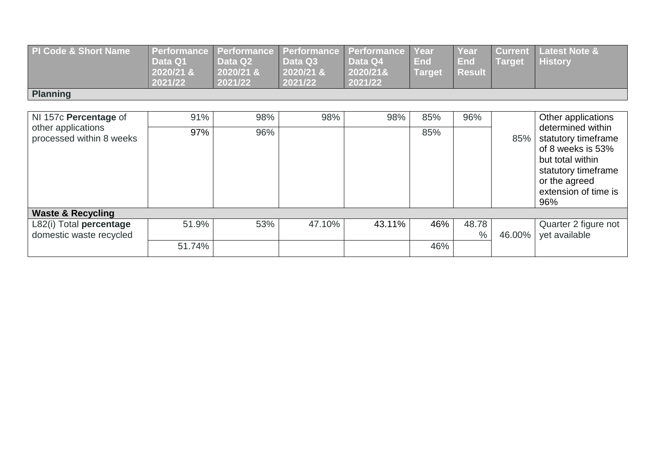| PI Code & Short Name | Performance Performance Performance Performance Year<br>Data Q1<br>2020/21 &<br>2021/22 | Data Q <sub>2</sub><br>$2020/21$ &<br>2021/22 | Data Q3<br>$2020/21$ &<br>2021/22 | Data Q4<br>2020/21&<br>2021/22 | End<br><b>Target</b> | Year<br><b>End</b><br><b>Result</b> | <b>Target</b> | <b>Current Latest Note &amp;</b><br><b>History</b> |
|----------------------|-----------------------------------------------------------------------------------------|-----------------------------------------------|-----------------------------------|--------------------------------|----------------------|-------------------------------------|---------------|----------------------------------------------------|
| <b>Planning</b>      |                                                                                         |                                               |                                   |                                |                      |                                     |               |                                                    |

| NI 157c Percentage of                          | 91%    | 98% | 98%    | 98%    | 85% | 96%           |        | Other applications                                                                                                                                       |
|------------------------------------------------|--------|-----|--------|--------|-----|---------------|--------|----------------------------------------------------------------------------------------------------------------------------------------------------------|
| other applications<br>processed within 8 weeks | 97%    | 96% |        |        | 85% |               | 85%    | determined within<br>statutory timeframe<br>of 8 weeks is 53%<br>but total within<br>statutory timeframe<br>or the agreed<br>extension of time is<br>96% |
| <b>Waste &amp; Recycling</b>                   |        |     |        |        |     |               |        |                                                                                                                                                          |
| L82(i) Total percentage                        | 51.9%  | 53% | 47.10% | 43.11% | 46% | 48.78         |        | Quarter 2 figure not                                                                                                                                     |
| domestic waste recycled                        |        |     |        |        |     | $\frac{0}{0}$ | 46.00% | yet available                                                                                                                                            |
|                                                | 51.74% |     |        |        | 46% |               |        |                                                                                                                                                          |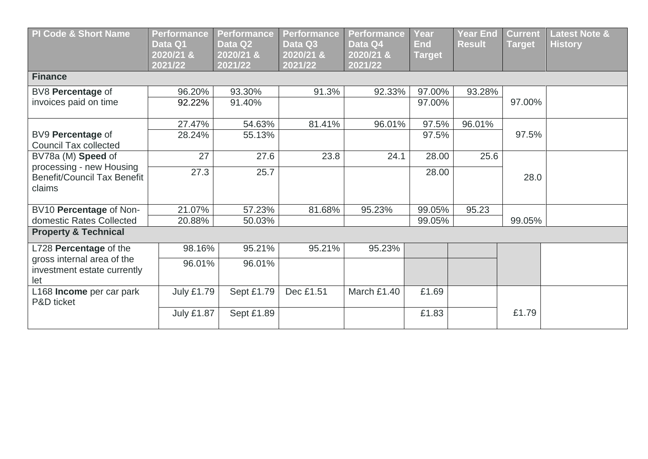| <b>PI Code &amp; Short Name</b>                                   | <b>Performance</b><br>Data Q1<br>2020/21 &<br>2021/22 | <b>Performance</b><br>Data Q2<br>2020/21 &<br>2021/22 | <b>Performance</b><br>Data Q3<br>2020/21 &<br>2021/22 | <b>Performance</b><br>Data Q4<br>2020/21 &<br>2021/22 | Year<br><b>End</b><br><b>Target</b> | <b>Year End</b><br><b>Result</b> | <b>Current</b><br><b>Target</b> | <b>Latest Note &amp;</b><br><b>History</b> |  |  |  |
|-------------------------------------------------------------------|-------------------------------------------------------|-------------------------------------------------------|-------------------------------------------------------|-------------------------------------------------------|-------------------------------------|----------------------------------|---------------------------------|--------------------------------------------|--|--|--|
| <b>Finance</b>                                                    |                                                       |                                                       |                                                       |                                                       |                                     |                                  |                                 |                                            |  |  |  |
| BV8 Percentage of                                                 | 96.20%                                                | 93.30%                                                | 91.3%                                                 | 92.33%                                                | 97.00%                              | 93.28%                           |                                 |                                            |  |  |  |
| invoices paid on time                                             | 92.22%                                                | 91.40%                                                |                                                       |                                                       | 97.00%                              |                                  | 97.00%                          |                                            |  |  |  |
|                                                                   | 27.47%                                                | 54.63%                                                | 81.41%                                                | 96.01%                                                | 97.5%                               | 96.01%                           |                                 |                                            |  |  |  |
| BV9 Percentage of<br><b>Council Tax collected</b>                 | 28.24%                                                | 55.13%                                                |                                                       |                                                       | 97.5%                               |                                  | 97.5%                           |                                            |  |  |  |
| BV78a (M) Speed of                                                | 27                                                    | 27.6                                                  | 23.8                                                  | 24.1                                                  | 28.00                               | 25.6                             |                                 |                                            |  |  |  |
| processing - new Housing<br>Benefit/Council Tax Benefit<br>claims | 27.3                                                  | 25.7                                                  |                                                       |                                                       | 28.00                               |                                  | 28.0                            |                                            |  |  |  |
| BV10 Percentage of Non-                                           | 21.07%                                                | 57.23%                                                | 81.68%                                                | 95.23%                                                | 99.05%                              | 95.23                            |                                 |                                            |  |  |  |
| domestic Rates Collected                                          | 20.88%                                                | 50.03%                                                |                                                       |                                                       | 99.05%                              |                                  | 99.05%                          |                                            |  |  |  |
| <b>Property &amp; Technical</b>                                   |                                                       |                                                       |                                                       |                                                       |                                     |                                  |                                 |                                            |  |  |  |
| L728 Percentage of the                                            | 98.16%                                                | 95.21%                                                | 95.21%                                                | 95.23%                                                |                                     |                                  |                                 |                                            |  |  |  |
| gross internal area of the<br>investment estate currently<br>let  | 96.01%                                                | 96.01%                                                |                                                       |                                                       |                                     |                                  |                                 |                                            |  |  |  |
| L168 Income per car park<br>P&D ticket                            | <b>July £1.79</b>                                     | Sept £1.79                                            | Dec £1.51                                             | March £1.40                                           | £1.69                               |                                  |                                 |                                            |  |  |  |
|                                                                   | <b>July £1.87</b>                                     | Sept £1.89                                            |                                                       |                                                       | £1.83                               |                                  | £1.79                           |                                            |  |  |  |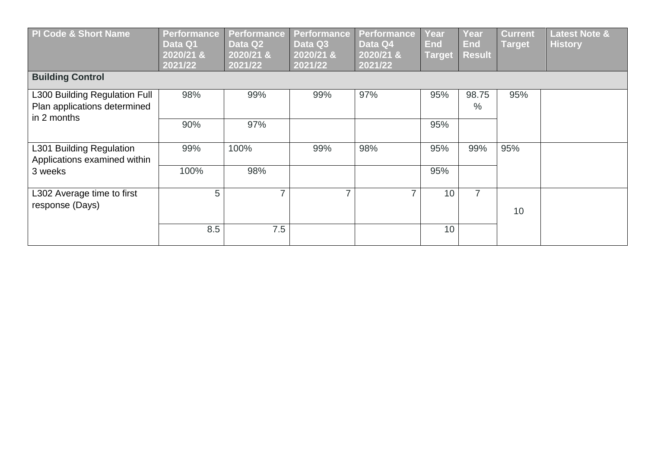| PI Code & Short Name                                                         | <b>Performance</b><br>Data Q1<br>2020/21 &<br>2021/22 | <b>Performance</b><br>Data Q2<br>2020/21 &<br>2021/22 | <b>Performance</b><br>Data Q3<br>2020/21 &<br>2021/22 | <b>Performance</b><br>Data Q4<br>2020/21 &<br>2021/22 | Year<br><b>End</b><br><b>Target</b> | Year<br><b>End</b><br><b>Result</b> | <b>Current</b><br><b>Target</b> | <b>Latest Note &amp;</b><br><b>History</b> |
|------------------------------------------------------------------------------|-------------------------------------------------------|-------------------------------------------------------|-------------------------------------------------------|-------------------------------------------------------|-------------------------------------|-------------------------------------|---------------------------------|--------------------------------------------|
| <b>Building Control</b>                                                      |                                                       |                                                       |                                                       |                                                       |                                     |                                     |                                 |                                            |
| L300 Building Regulation Full<br>Plan applications determined<br>in 2 months | 98%                                                   | 99%                                                   | 99%                                                   | 97%                                                   | 95%                                 | 98.75<br>$\%$                       | 95%                             |                                            |
|                                                                              | 90%                                                   | 97%                                                   |                                                       |                                                       | 95%                                 |                                     |                                 |                                            |
| L301 Building Regulation<br>Applications examined within                     | 99%                                                   | 100%                                                  | 99%                                                   | 98%                                                   | 95%                                 | 99%                                 | 95%                             |                                            |
| 3 weeks                                                                      | 100%                                                  | 98%                                                   |                                                       |                                                       | 95%                                 |                                     |                                 |                                            |
| L302 Average time to first<br>response (Days)                                | 5                                                     | ⇁                                                     | $\overline{\phantom{a}}$                              | 7                                                     | 10                                  | $\overline{7}$                      | 10                              |                                            |
|                                                                              | 8.5                                                   | 7.5                                                   |                                                       |                                                       | 10                                  |                                     |                                 |                                            |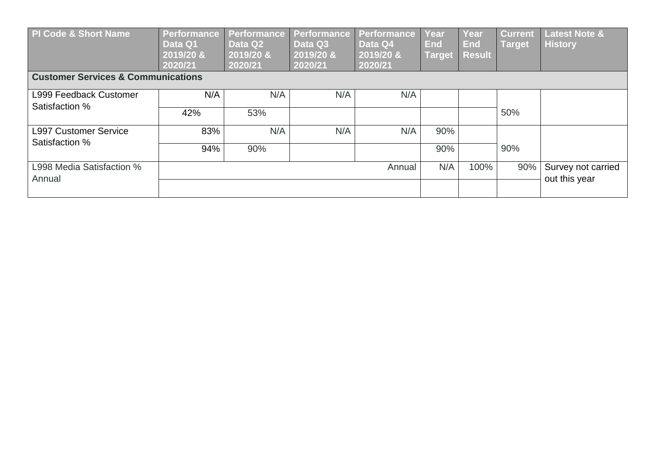| PI Code & Short Name                          | <b>Performance</b><br>Data Q1<br>2019/20 &<br>2020/21 | Performance<br>Data Q2<br>2019/20 &<br>2020/21 | Performance<br>Data Q3<br>2019/20 &<br>2020/21 | Performance<br>Data Q4<br>2019/20 &<br>2020/21 | Year<br><b>End</b><br><b>Target</b> | Year<br><b>End</b><br><b>Result</b> | <b>Current</b><br>Target | <b>Latest Note &amp;</b><br><b>History</b> |
|-----------------------------------------------|-------------------------------------------------------|------------------------------------------------|------------------------------------------------|------------------------------------------------|-------------------------------------|-------------------------------------|--------------------------|--------------------------------------------|
| <b>Customer Services &amp; Communications</b> |                                                       |                                                |                                                |                                                |                                     |                                     |                          |                                            |
| L999 Feedback Customer<br>Satisfaction %      | N/A                                                   | N/A                                            | N/A                                            | N/A                                            |                                     |                                     |                          |                                            |
|                                               | 42%                                                   | 53%                                            |                                                |                                                |                                     |                                     | 50%                      |                                            |
| <b>L997 Customer Service</b>                  | 83%                                                   | N/A                                            | N/A                                            | N/A                                            | 90%                                 |                                     |                          |                                            |
| Satisfaction %                                | 94%                                                   | 90%                                            |                                                |                                                | 90%                                 |                                     | 90%                      |                                            |
| L998 Media Satisfaction %<br>Annual           |                                                       |                                                |                                                | Annual                                         | N/A                                 | 100%                                | 90%                      | Survey not carried                         |
|                                               |                                                       |                                                |                                                |                                                |                                     |                                     |                          | out this year                              |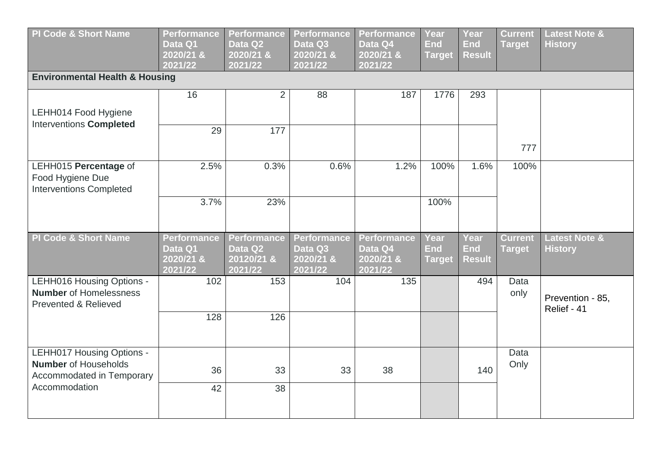| <b>PI Code &amp; Short Name</b>                                                               | <b>Performance</b><br>Data Q1<br>2020/21 &<br>2021/22 | <b>Performance</b><br>Data Q2<br>2020/21 &<br>2021/22  | <b>Performance</b><br>Data Q3<br>2020/21 &<br>2021/22 | <b>Performance</b><br>Data Q4<br>2020/21 &<br>2021/22 | <b>Year</b><br><b>End</b><br><b>Target</b> | <b>Year</b><br><b>End</b><br><b>Result</b> | <b>Current</b><br><b>Target</b> | <b>Latest Note &amp;</b><br><b>History</b> |
|-----------------------------------------------------------------------------------------------|-------------------------------------------------------|--------------------------------------------------------|-------------------------------------------------------|-------------------------------------------------------|--------------------------------------------|--------------------------------------------|---------------------------------|--------------------------------------------|
| <b>Environmental Health &amp; Housing</b>                                                     |                                                       |                                                        |                                                       |                                                       |                                            |                                            |                                 |                                            |
| LEHH014 Food Hygiene                                                                          | 16                                                    | $\overline{2}$                                         | 88                                                    | 187                                                   | 1776                                       | 293                                        |                                 |                                            |
| <b>Interventions Completed</b>                                                                | 29                                                    | 177                                                    |                                                       |                                                       |                                            |                                            | 777                             |                                            |
| LEHH015 Percentage of<br>Food Hygiene Due<br><b>Interventions Completed</b>                   | 2.5%                                                  | 0.3%                                                   | 0.6%                                                  | 1.2%                                                  | 100%                                       | 1.6%                                       | 100%                            |                                            |
|                                                                                               | 3.7%                                                  | 23%                                                    |                                                       |                                                       | 100%                                       |                                            |                                 |                                            |
| <b>PI Code &amp; Short Name</b>                                                               | <b>Performance</b><br>Data Q1<br>2020/218<br>2021/22  | <b>Performance</b><br>Data Q2<br>20120/21 &<br>2021/22 | Performance<br>Data Q3<br>2020/21 &<br>2021/22        | Performance<br>Data Q4<br>2020/21 &<br>2021/22        | <b>Year</b><br><b>End</b><br><b>Target</b> | <b>Year</b><br><b>End</b><br><b>Result</b> | <b>Current</b><br><b>Target</b> | <b>Latest Note &amp;</b><br><b>History</b> |
| LEHH016 Housing Options -<br><b>Number</b> of Homelessness<br><b>Prevented &amp; Relieved</b> | 102                                                   | 153                                                    | 104                                                   | 135                                                   |                                            | 494                                        | Data<br>only                    | Prevention - 85,<br>Relief - 41            |
|                                                                                               | 128                                                   | 126                                                    |                                                       |                                                       |                                            |                                            |                                 |                                            |
| LEHH017 Housing Options -<br><b>Number</b> of Households<br><b>Accommodated in Temporary</b>  | 36                                                    | 33                                                     | 33                                                    | 38                                                    |                                            | 140                                        | Data<br>Only                    |                                            |
| Accommodation                                                                                 | 42                                                    | 38                                                     |                                                       |                                                       |                                            |                                            |                                 |                                            |